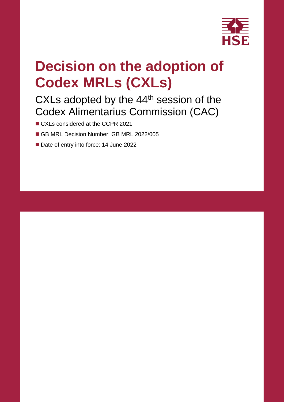

# **Decision on the adoption of Codex MRLs (CXLs)**

## CXLs adopted by the 44<sup>th</sup> session of the Codex Alimentarius Commission (CAC)

- CXLs considered at the CCPR 2021
- GB MRL Decision Number: GB MRL 2022/005
- Date of entry into force: 14 June 2022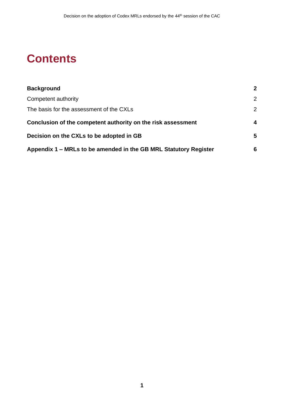## **Contents**

| <b>Background</b>                                                | $\mathbf 2$      |
|------------------------------------------------------------------|------------------|
| Competent authority                                              | 2                |
| The basis for the assessment of the CXLs                         | $\overline{2}$   |
| Conclusion of the competent authority on the risk assessment     | $\boldsymbol{4}$ |
| Decision on the CXLs to be adopted in GB                         | 5                |
| Appendix 1 – MRLs to be amended in the GB MRL Statutory Register | 6                |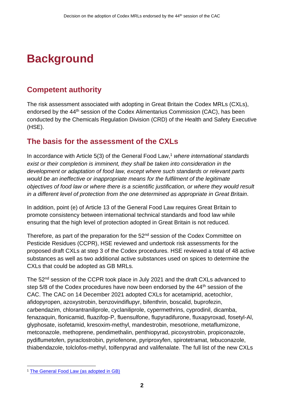## <span id="page-3-0"></span>**Background**

## <span id="page-3-1"></span>**Competent authority**

The risk assessment associated with adopting in Great Britain the Codex MRLs (CXLs), endorsed by the 44<sup>th</sup> session of the Codex Alimentarius Commission (CAC), has been conducted by the Chemicals Regulation Division (CRD) of the Health and Safety Executive (HSE).

### <span id="page-3-2"></span>**The basis for the assessment of the CXLs**

In accordance with Article 5(3) of the General Food Law, <sup>1</sup> *where international standards exist or their completion is imminent, they shall be taken into consideration in the development or adaptation of food law, except where such standards or relevant parts would be an ineffective or inappropriate means for the fulfilment of the legitimate objectives of food law or where there is a scientific justification, or where they would result in a different level of protection from the one determined as appropriate in Great Britain*.

In addition, point (e) of Article 13 of the General Food Law requires Great Britain to promote consistency between international technical standards and food law while ensuring that the high level of protection adopted in Great Britain is not reduced.

Therefore, as part of the preparation for the 52<sup>nd</sup> session of the Codex Committee on Pesticide Residues (CCPR), HSE reviewed and undertook risk assessments for the proposed draft CXLs at step 3 of the Codex procedures. HSE reviewed a total of 48 active substances as well as two additional active substances used on spices to determine the CXLs that could be adopted as GB MRLs.

The 52<sup>nd</sup> session of the CCPR took place in July 2021 and the draft CXLs advanced to step 5/8 of the Codex procedures have now been endorsed by the 44<sup>th</sup> session of the CAC. The CAC on 14 December 2021 adopted CXLs for acetamiprid, acetochlor, afidopyropen, azoxystrobin, benzovindiflupyr, bifenthrin, boscalid, buprofezin, carbendazim, chlorantraniliprole, cyclaniliprole, cypermethrins, cyprodinil, dicamba, fenazaquin, flonicamid, fluazifop-P, fluensulfone, flupyradifurone, fluxapyroxad, fosetyl-Al, glyphosate, isofetamid, kresoxim-methyl, mandestrobin, mesotrione, metaflumizone, metconazole, methoprene, pendimethalin, penthiopyrad, picoxystrobin, propiconazole, pydiflumetofen, pyraclostrobin, pyriofenone, pyriproxyfen, spirotetramat, tebuconazole, thiabendazole, tolclofos-methyl, tolfenpyrad and valifenalate. The full list of the new CXLs

<sup>1</sup> [The General Food Law \(as adopted in GB\)](https://www.legislation.gov.uk/eur/2002/178/contents)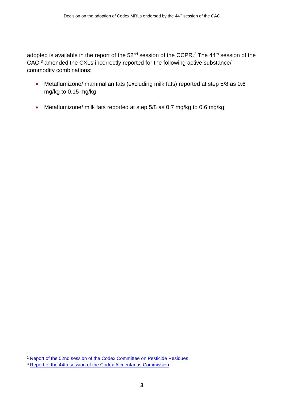adopted is available in the report of the 52<sup>nd</sup> session of the CCPR.<sup>2</sup> The 44<sup>th</sup> session of the CAC,<sup>3</sup> amended the CXLs incorrectly reported for the following active substance/ commodity combinations:

- Metaflumizone/ mammalian fats (excluding milk fats) reported at step 5/8 as 0.6 mg/kg to 0.15 mg/kg
- Metaflumizone/ milk fats reported at step 5/8 as 0.7 mg/kg to 0.6 mg/kg

<sup>2</sup> [Report of the 52nd session of the Codex Committee on Pesticide Residues](https://www.fao.org/fao-who-codexalimentarius/sh-proxy/en/?lnk=1&url=https%253A%252F%252Fworkspace.fao.org%252Fsites%252Fcodex%252FMeetings%252FCX-718-52%252FREPORT%252FFINAL%252520REPORT%252FREP21_PR52e.pdf)

<sup>3</sup> [Report of the 44th session of the Codex Alimentarius Commission](https://www.fao.org/fao-who-codexalimentarius/sh-proxy/en/?lnk=1&url=https%253A%252F%252Fworkspace.fao.org%252Fsites%252Fcodex%252FMeetings%252FCX-701-44%252FFINAL%252520REPORT%252FRep21_CACe.pdf)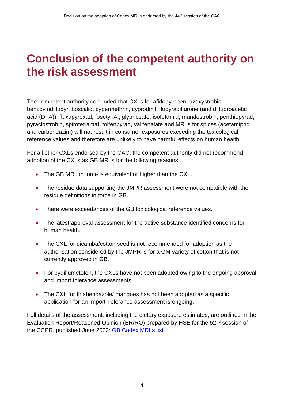## <span id="page-5-0"></span>**Conclusion of the competent authority on the risk assessment**

The competent authority concluded that CXLs for afidopyropen, azoxystrobin, benzovindiflupyr, boscalid, cypermethrin, cyprodinil, flupyradiflurone (and difluoroacetic acid (DFA)), fluxapyroxad, fosetyl-Al, glyphosate, isofetamid, mandestrobin, penthiopyrad, pyraclostrobin, spirotetramat, tolfenpyrad, valifenalate and MRLs for spices (acetamiprid and carbendazim) will not result in consumer exposures exceeding the toxicological reference values and therefore are unlikely to have harmful effects on human health.

For all other CXLs endorsed by the CAC, the competent authority did not recommend adoption of the CXLs as GB MRLs for the following reasons:

- The GB MRL in force is equivalent or higher than the CXL.
- The residue data supporting the JMPR assessment were not compatible with the residue definitions in force in GB.
- There were exceedances of the GB toxicological reference values.
- The latest approval assessment for the active substance identified concerns for human health.
- The CXL for dicamba/cotton seed is not recommended for adoption as the authorisation considered by the JMPR is for a GM variety of cotton that is not currently approved in GB.
- For pydiflumetofen, the CXLs have not been adopted owing to the ongoing approval and import tolerance assessments.
- The CXL for thiabendazole/ mangoes has not been adopted as a specific application for an Import Tolerance assessment is ongoing.

Full details of the assessment, including the dietary exposure estimates, are outlined in the Evaluation Report/Reasoned Opinion (ER/RO) prepared by HSE for the 52nd session of the CCPR, published June 2022: GB Codex MRLs list.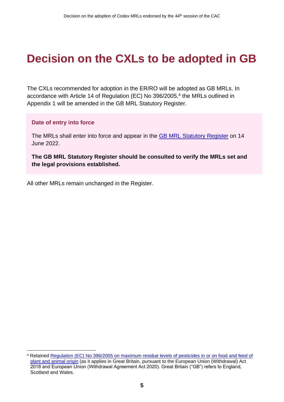## <span id="page-6-0"></span>**Decision on the CXLs to be adopted in GB**

The CXLs recommended for adoption in the ER/RO will be adopted as GB MRLs. In accordance with Article 14 of Regulation (EC) No 396/2005,<sup>4</sup> the MRLs outlined in Appendix 1 will be amended in the GB MRL Statutory Register.

#### **Date of entry into force**

The MRLs shall enter into force and appear in the [GB MRL Statutory Register](https://secure.pesticides.gov.uk/MRLs/Main) on 14 June 2022.

**The GB MRL Statutory Register should be consulted to verify the MRLs set and the legal provisions established.** 

All other MRLs remain unchanged in the Register.

<sup>4</sup> Retained [Regulation \(EC\) No 396/2005 on maximum residue levels of pesticides in or on food and feed of](https://www.legislation.gov.uk/eur/2005/396/contents)  [plant and animal origin](https://www.legislation.gov.uk/eur/2005/396/contents) (as it applies in Great Britain, pursuant to the European Union (Withdrawal) Act 2018 and European Union (Withdrawal Agreement Act 2020). Great Britain ("GB") refers to England, Scotland and Wales.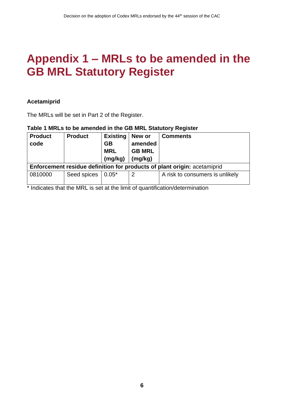## <span id="page-7-0"></span>**Appendix 1 – MRLs to be amended in the GB MRL Statutory Register**

#### **Acetamiprid**

The MRLs will be set in Part 2 of the Register.

#### **Table 1 MRLs to be amended in the GB MRL Statutory Register**

| <b>Product</b><br>code | <b>Product</b> | <b>Existing</b><br><b>GB</b><br><b>MRL</b><br>(mg/kg) | New or<br>amended<br><b>GB MRL</b><br>(mg/kg) | <b>Comments</b>                                                          |
|------------------------|----------------|-------------------------------------------------------|-----------------------------------------------|--------------------------------------------------------------------------|
|                        |                |                                                       |                                               | Enforcement residue definition for products of plant origin: acetamiprid |
| 0810000                | Seed spices    | $0.05*$                                               | $\overline{2}$                                | A risk to consumers is unlikely                                          |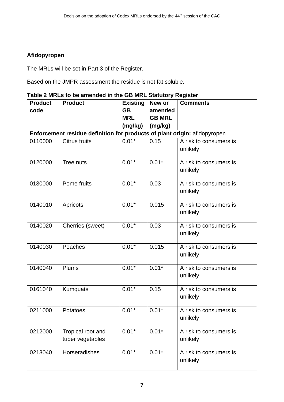#### **Afidopyropen**

The MRLs will be set in Part 3 of the Register.

Based on the JMPR assessment the residue is not fat soluble.

| Table 2 MRLs to be amended in the GB MRL Statutory Register |  |  |
|-------------------------------------------------------------|--|--|
|                                                             |  |  |

| <b>Product</b> | <b>Product</b>                                                            | <b>Existing</b> | New or        | <b>Comments</b>                    |  |  |  |  |
|----------------|---------------------------------------------------------------------------|-----------------|---------------|------------------------------------|--|--|--|--|
| code           |                                                                           | <b>GB</b>       | amended       |                                    |  |  |  |  |
|                |                                                                           | <b>MRL</b>      | <b>GB MRL</b> |                                    |  |  |  |  |
|                |                                                                           | (mg/kg)         | (mg/kg)       |                                    |  |  |  |  |
|                | Enforcement residue definition for products of plant origin: afidopyropen |                 |               |                                    |  |  |  |  |
| 0110000        | <b>Citrus fruits</b>                                                      | $0.01*$         | 0.15          | A risk to consumers is<br>unlikely |  |  |  |  |
| 0120000        | Tree nuts                                                                 | $0.01*$         | $0.01*$       | A risk to consumers is<br>unlikely |  |  |  |  |
| 0130000        | Pome fruits                                                               | $0.01*$         | 0.03          | A risk to consumers is<br>unlikely |  |  |  |  |
| 0140010        | Apricots                                                                  | $0.01*$         | 0.015         | A risk to consumers is<br>unlikely |  |  |  |  |
| 0140020        | Cherries (sweet)                                                          | $0.01*$         | 0.03          | A risk to consumers is<br>unlikely |  |  |  |  |
| 0140030        | Peaches                                                                   | $0.01*$         | 0.015         | A risk to consumers is<br>unlikely |  |  |  |  |
| 0140040        | Plums                                                                     | $0.01*$         | $0.01*$       | A risk to consumers is<br>unlikely |  |  |  |  |
| 0161040        | <b>Kumquats</b>                                                           | $0.01*$         | 0.15          | A risk to consumers is<br>unlikely |  |  |  |  |
| 0211000        | Potatoes                                                                  | $0.01*$         | $0.01*$       | A risk to consumers is<br>unlikely |  |  |  |  |
| 0212000        | Tropical root and<br>tuber vegetables                                     | $0.01*$         | $0.01*$       | A risk to consumers is<br>unlikely |  |  |  |  |
| 0213040        | Horseradishes                                                             | $0.01*$         | $0.01*$       | A risk to consumers is<br>unlikely |  |  |  |  |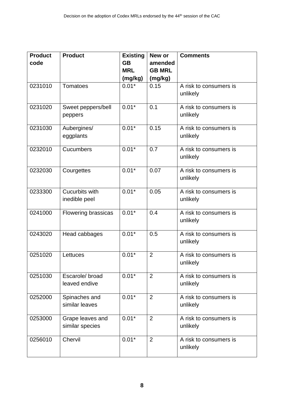| <b>Product</b><br>code | <b>Product</b>                      | <b>Existing</b><br><b>GB</b><br><b>MRL</b> | New or<br>amended<br><b>GB MRL</b> | <b>Comments</b>                    |
|------------------------|-------------------------------------|--------------------------------------------|------------------------------------|------------------------------------|
|                        |                                     | (mg/kg)                                    | (mg/kg)                            |                                    |
| 0231010                | Tomatoes                            | $0.01*$                                    | 0.15                               | A risk to consumers is             |
|                        |                                     |                                            |                                    | unlikely                           |
| 0231020                | Sweet peppers/bell<br>peppers       | $0.01*$                                    | 0.1                                | A risk to consumers is<br>unlikely |
| 0231030                | Aubergines/<br>eggplants            | $0.01*$                                    | 0.15                               | A risk to consumers is<br>unlikely |
| 0232010                | Cucumbers                           | $0.01*$                                    | 0.7                                | A risk to consumers is<br>unlikely |
| 0232030                | Courgettes                          | $0.01*$                                    | 0.07                               | A risk to consumers is<br>unlikely |
| 0233300                | Cucurbits with<br>inedible peel     | $0.01*$                                    | 0.05                               | A risk to consumers is<br>unlikely |
| 0241000                | Flowering brassicas                 | $0.01*$                                    | 0.4                                | A risk to consumers is<br>unlikely |
| 0243020                | Head cabbages                       | $0.01*$                                    | 0.5                                | A risk to consumers is<br>unlikely |
| 0251020                | Lettuces                            | $0.01*$                                    | $\overline{2}$                     | A risk to consumers is<br>unlikely |
| 0251030                | Escarole/broad<br>leaved endive     | $0.01*$                                    | $\overline{2}$                     | A risk to consumers is<br>unlikely |
| 0252000                | Spinaches and<br>similar leaves     | $0.01*$                                    | $\overline{2}$                     | A risk to consumers is<br>unlikely |
| 0253000                | Grape leaves and<br>similar species | $0.01*$                                    | 2                                  | A risk to consumers is<br>unlikely |
| 0256010                | Chervil                             | $0.01*$                                    | $\overline{2}$                     | A risk to consumers is<br>unlikely |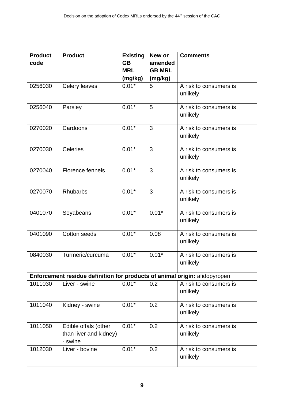| <b>Product</b><br>code | <b>Product</b>                                                             | <b>Existing</b><br><b>GB</b> | New or<br>amended        | <b>Comments</b>                    |
|------------------------|----------------------------------------------------------------------------|------------------------------|--------------------------|------------------------------------|
|                        |                                                                            | <b>MRL</b><br>(mg/kg)        | <b>GB MRL</b><br>(mg/kg) |                                    |
| 0256030                | Celery leaves                                                              | $0.01*$                      | 5                        | A risk to consumers is<br>unlikely |
| 0256040                | Parsley                                                                    | $0.01*$                      | 5                        | A risk to consumers is<br>unlikely |
| 0270020                | Cardoons                                                                   | $0.01*$                      | 3                        | A risk to consumers is<br>unlikely |
| 0270030                | Celeries                                                                   | $0.01*$                      | 3                        | A risk to consumers is<br>unlikely |
| 0270040                | Florence fennels                                                           | $0.01*$                      | 3                        | A risk to consumers is<br>unlikely |
| 0270070                | <b>Rhubarbs</b>                                                            | $0.01*$                      | 3                        | A risk to consumers is<br>unlikely |
| 0401070                | Soyabeans                                                                  | $0.01*$                      | $0.01*$                  | A risk to consumers is<br>unlikely |
| 0401090                | <b>Cotton seeds</b>                                                        | $0.01*$                      | 0.08                     | A risk to consumers is<br>unlikely |
| 0840030                | Turmeric/curcuma                                                           | $0.01*$                      | $0.01*$                  | A risk to consumers is<br>unlikely |
|                        | Enforcement residue definition for products of animal origin: afidopyropen |                              |                          |                                    |
| 1011030                | Liver - swine                                                              | $0.01*$                      | 0.2                      | A risk to consumers is<br>unlikely |
| 1011040                | Kidney - swine                                                             | $0.01*$                      | 0.2                      | A risk to consumers is<br>unlikely |
| 1011050                | Edible offals (other<br>than liver and kidney)<br>- swine                  | $0.01*$                      | 0.2                      | A risk to consumers is<br>unlikely |
| 1012030                | Liver - bovine                                                             | $0.01*$                      | 0.2                      | A risk to consumers is<br>unlikely |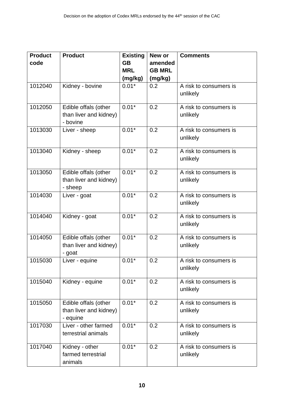| <b>Product</b>       | <b>Existing</b>                                                                                                                                                        | New or                             | <b>Comments</b>                     |
|----------------------|------------------------------------------------------------------------------------------------------------------------------------------------------------------------|------------------------------------|-------------------------------------|
|                      |                                                                                                                                                                        |                                    |                                     |
|                      |                                                                                                                                                                        |                                    |                                     |
| Kidney - bovine      | $0.01*$                                                                                                                                                                | 0.2                                | A risk to consumers is              |
|                      |                                                                                                                                                                        |                                    | unlikely                            |
| Edible offals (other | $0.01*$                                                                                                                                                                | 0.2                                | A risk to consumers is              |
| - bovine             |                                                                                                                                                                        |                                    | unlikely                            |
| Liver - sheep        | $0.01*$                                                                                                                                                                | 0.2                                | A risk to consumers is              |
|                      |                                                                                                                                                                        |                                    | unlikely                            |
| Kidney - sheep       | $0.01*$                                                                                                                                                                | 0.2                                | A risk to consumers is              |
|                      |                                                                                                                                                                        |                                    | unlikely                            |
| Edible offals (other | $0.01*$                                                                                                                                                                | 0.2                                | A risk to consumers is              |
|                      |                                                                                                                                                                        |                                    | unlikely                            |
| Liver - goat         | $0.01*$                                                                                                                                                                | 0.2                                | A risk to consumers is              |
|                      |                                                                                                                                                                        |                                    | unlikely                            |
| Kidney - goat        | $0.01*$                                                                                                                                                                | 0.2                                | A risk to consumers is              |
|                      |                                                                                                                                                                        |                                    | unlikely                            |
| Edible offals (other | $0.01*$                                                                                                                                                                | 0.2                                | A risk to consumers is              |
|                      |                                                                                                                                                                        |                                    | unlikely                            |
| Liver - equine       | $0.01*$                                                                                                                                                                | 0.2                                | A risk to consumers is              |
|                      |                                                                                                                                                                        |                                    | unlikely                            |
| Kidney - equine      | $0.01*$                                                                                                                                                                | 0.2                                | A risk to consumers is              |
|                      |                                                                                                                                                                        |                                    | unlikely                            |
| Edible offals (other | $0.01*$                                                                                                                                                                | 0.2                                | A risk to consumers is              |
|                      |                                                                                                                                                                        |                                    | unlikely                            |
| Liver - other farmed | $0.01*$                                                                                                                                                                | 0.2                                | A risk to consumers is              |
| terrestrial animals  |                                                                                                                                                                        |                                    | unlikely                            |
| Kidney - other       | $0.01*$                                                                                                                                                                | 0.2                                | A risk to consumers is              |
|                      |                                                                                                                                                                        |                                    | unlikely                            |
|                      | than liver and kidney)<br>than liver and kidney)<br>- sheep<br>than liver and kidney)<br>- goat<br>than liver and kidney)<br>- equine<br>farmed terrestrial<br>animals | <b>GB</b><br><b>MRL</b><br>(mg/kg) | amended<br><b>GB MRL</b><br>(mg/kg) |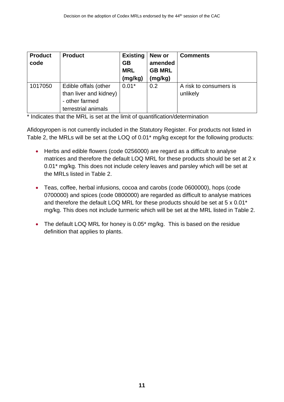| <b>Product</b><br>code | <b>Product</b>                                                                          | <b>Existing</b><br><b>GB</b><br><b>MRL</b><br>(mg/kg) | New or<br>amended<br><b>GB MRL</b><br>(mg/kg) | <b>Comments</b>                    |
|------------------------|-----------------------------------------------------------------------------------------|-------------------------------------------------------|-----------------------------------------------|------------------------------------|
| 1017050                | Edible offals (other<br>than liver and kidney)<br>- other farmed<br>terrestrial animals | $0.01*$                                               | 0.2                                           | A risk to consumers is<br>unlikely |

\* Indicates that the MRL is set at the limit of quantification/determination

Afidopyropen is not currently included in the Statutory Register. For products not listed in Table 2, the MRLs will be set at the LOQ of 0.01\* mg/kg except for the following products:

- Herbs and edible flowers (code 0256000) are regard as a difficult to analyse matrices and therefore the default LOQ MRL for these products should be set at 2 x 0.01\* mg/kg. This does not include celery leaves and parsley which will be set at the MRLs listed in Table 2.
- Teas, coffee, herbal infusions, cocoa and carobs (code 0600000), hops (code 0700000) and spices (code 0800000) are regarded as difficult to analyse matrices and therefore the default LOQ MRL for these products should be set at 5 x 0.01\* mg/kg. This does not include turmeric which will be set at the MRL listed in Table 2.
- The default LOQ MRL for honey is 0.05<sup>\*</sup> mg/kg. This is based on the residue definition that applies to plants.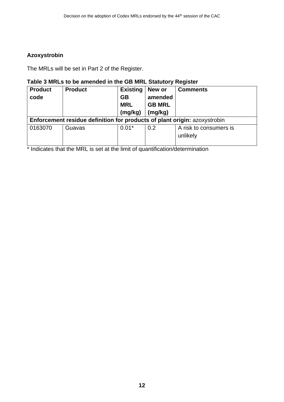#### **Azoxystrobin**

The MRLs will be set in Part 2 of the Register.

#### **Table 3 MRLs to be amended in the GB MRL Statutory Register**

| <b>Product</b><br>code                                                           | <b>Product</b> | <b>Existing</b><br><b>GB</b><br><b>MRL</b><br>(mg/kg) | New or<br>amended<br><b>GB MRL</b><br>(mg/kg) | <b>Comments</b>                    |  |
|----------------------------------------------------------------------------------|----------------|-------------------------------------------------------|-----------------------------------------------|------------------------------------|--|
| <b>Enforcement residue definition for products of plant origin: azoxystrobin</b> |                |                                                       |                                               |                                    |  |
| 0163070                                                                          | Guavas         | $0.01*$                                               | 0.2                                           | A risk to consumers is<br>unlikely |  |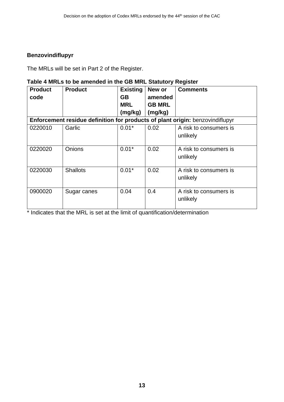#### **Benzovindiflupyr**

The MRLs will be set in Part 2 of the Register.

#### **Table 4 MRLs to be amended in the GB MRL Statutory Register**

| <b>Product</b> | <b>Product</b>  | <b>Existing</b> | New or        | <b>Comments</b>                                                               |
|----------------|-----------------|-----------------|---------------|-------------------------------------------------------------------------------|
| code           |                 | GB              | amended       |                                                                               |
|                |                 | <b>MRL</b>      | <b>GB MRL</b> |                                                                               |
|                |                 | (mg/kg)         | (mg/kg)       |                                                                               |
|                |                 |                 |               | Enforcement residue definition for products of plant origin: benzovindiflupyr |
| 0220010        | Garlic          | $0.01*$         | 0.02          | A risk to consumers is                                                        |
|                |                 |                 |               | unlikely                                                                      |
|                |                 |                 |               |                                                                               |
| 0220020        | Onions          | $0.01*$         | 0.02          | A risk to consumers is                                                        |
|                |                 |                 |               | unlikely                                                                      |
|                |                 |                 |               |                                                                               |
| 0220030        | <b>Shallots</b> | $0.01*$         | 0.02          | A risk to consumers is                                                        |
|                |                 |                 |               | unlikely                                                                      |
|                |                 |                 |               |                                                                               |
| 0900020        | Sugar canes     | 0.04            | 0.4           | A risk to consumers is                                                        |
|                |                 |                 |               | unlikely                                                                      |
|                |                 |                 |               |                                                                               |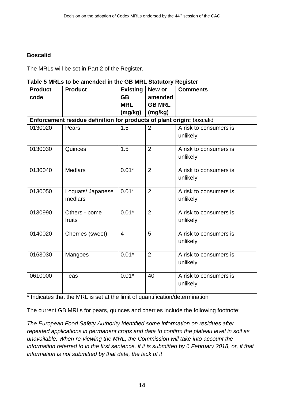#### **Boscalid**

The MRLs will be set in Part 2 of the Register.

#### **Table 5 MRLs to be amended in the GB MRL Statutory Register**

| <b>Product</b> | <b>Product</b>                                                        | <b>Existing</b> | New or         | <b>Comments</b>                    |  |  |  |  |
|----------------|-----------------------------------------------------------------------|-----------------|----------------|------------------------------------|--|--|--|--|
| code           |                                                                       | <b>GB</b>       | amended        |                                    |  |  |  |  |
|                |                                                                       | <b>MRL</b>      | <b>GB MRL</b>  |                                    |  |  |  |  |
|                |                                                                       | (mg/kg)         | (mg/kg)        |                                    |  |  |  |  |
|                | Enforcement residue definition for products of plant origin: boscalid |                 |                |                                    |  |  |  |  |
| 0130020        | Pears                                                                 | 1.5             | $\overline{2}$ | A risk to consumers is<br>unlikely |  |  |  |  |
| 0130030        | Quinces                                                               | 1.5             | $\overline{2}$ | A risk to consumers is<br>unlikely |  |  |  |  |
| 0130040        | <b>Medlars</b>                                                        | $0.01*$         | $\overline{2}$ | A risk to consumers is<br>unlikely |  |  |  |  |
| 0130050        | Loquats/ Japanese<br>medlars                                          | $0.01*$         | $\overline{2}$ | A risk to consumers is<br>unlikely |  |  |  |  |
| 0130990        | Others - pome<br>fruits                                               | $0.01*$         | $\overline{2}$ | A risk to consumers is<br>unlikely |  |  |  |  |
| 0140020        | Cherries (sweet)                                                      | $\overline{4}$  | 5              | A risk to consumers is<br>unlikely |  |  |  |  |
| 0163030        | Mangoes                                                               | $0.01*$         | $\overline{2}$ | A risk to consumers is<br>unlikely |  |  |  |  |
| 0610000        | <b>Teas</b>                                                           | $0.01*$         | 40             | A risk to consumers is<br>unlikely |  |  |  |  |

\* Indicates that the MRL is set at the limit of quantification/determination

The current GB MRLs for pears, quinces and cherries include the following footnote:

*The European Food Safety Authority identified some information on residues after repeated applications in permanent crops and data to confirm the plateau level in soil as unavailable. When re-viewing the MRL, the Commission will take into account the information referred to in the first sentence, if it is submitted by 6 February 2018, or, if that information is not submitted by that date, the lack of it*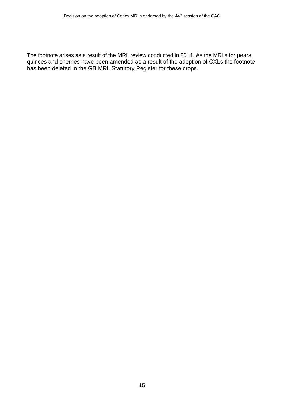The footnote arises as a result of the MRL review conducted in 2014. As the MRLs for pears, quinces and cherries have been amended as a result of the adoption of CXLs the footnote has been deleted in the GB MRL Statutory Register for these crops.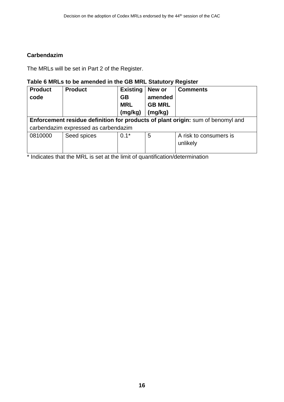#### **Carbendazim**

The MRLs will be set in Part 2 of the Register.

#### **Table 6 MRLs to be amended in the GB MRL Statutory Register**

| <b>Product</b>                                                                  | <b>Product</b>                       | <b>Existing</b> | New or        | <b>Comments</b>        |  |  |
|---------------------------------------------------------------------------------|--------------------------------------|-----------------|---------------|------------------------|--|--|
| code                                                                            |                                      | <b>GB</b>       | amended       |                        |  |  |
|                                                                                 |                                      | <b>MRL</b>      | <b>GB MRL</b> |                        |  |  |
|                                                                                 |                                      | (mg/kg)         | (mg/kg)       |                        |  |  |
| Enforcement residue definition for products of plant origin: sum of benomyl and |                                      |                 |               |                        |  |  |
|                                                                                 | carbendazim expressed as carbendazim |                 |               |                        |  |  |
| 0810000                                                                         | Seed spices                          | $0.1*$          | 5             | A risk to consumers is |  |  |
|                                                                                 |                                      |                 |               | unlikely               |  |  |
|                                                                                 |                                      |                 |               |                        |  |  |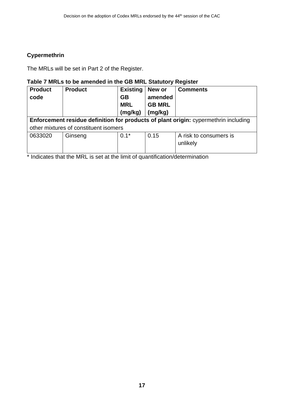#### **Cypermethrin**

The MRLs will be set in Part 2 of the Register.

#### **Table 7 MRLs to be amended in the GB MRL Statutory Register**

| <b>Product</b><br>code | <b>Product</b>                                                                      | <b>Existing</b><br><b>GB</b><br><b>MRL</b> | New or<br>amended<br><b>GB MRL</b> | <b>Comments</b>        |  |
|------------------------|-------------------------------------------------------------------------------------|--------------------------------------------|------------------------------------|------------------------|--|
|                        |                                                                                     | (mg/kg)                                    | (mg/kg)                            |                        |  |
|                        |                                                                                     |                                            |                                    |                        |  |
|                        | Enforcement residue definition for products of plant origin: cypermethrin including |                                            |                                    |                        |  |
|                        | other mixtures of constituent isomers                                               |                                            |                                    |                        |  |
| 0633020                | Ginseng                                                                             | $0.1*$                                     | 0.15                               | A risk to consumers is |  |
|                        |                                                                                     |                                            |                                    | unlikely               |  |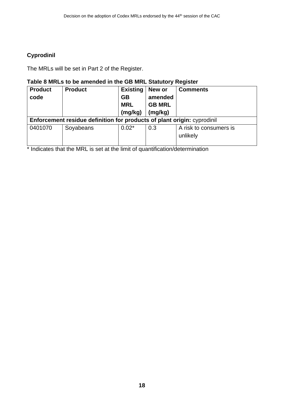#### **Cyprodinil**

The MRLs will be set in Part 2 of the Register.

### **Table 8 MRLs to be amended in the GB MRL Statutory Register**

| <b>Product</b><br>code | <b>Product</b>                                                                 | <b>Existing</b><br><b>GB</b><br><b>MRL</b><br>(mg/kg) | New or<br>amended<br><b>GB MRL</b><br>(mg/kg) | <b>Comments</b>                    |  |  |
|------------------------|--------------------------------------------------------------------------------|-------------------------------------------------------|-----------------------------------------------|------------------------------------|--|--|
|                        | <b>Enforcement residue definition for products of plant origin:</b> cyprodinil |                                                       |                                               |                                    |  |  |
| 0401070                | Soyabeans                                                                      | $0.02*$                                               | 0.3                                           | A risk to consumers is<br>unlikely |  |  |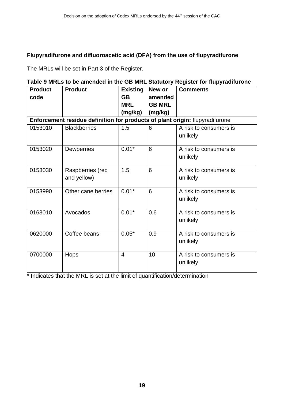#### **Flupyradifurone and difluoroacetic acid (DFA) from the use of flupyradifurone**

The MRLs will be set in Part 3 of the Register.

#### **Table 9 MRLs to be amended in the GB MRL Statutory Register for flupyradifurone**

| <b>Product</b> | <b>Product</b>                                                               | <b>Existing</b>         | New or                   | <b>Comments</b>                    |
|----------------|------------------------------------------------------------------------------|-------------------------|--------------------------|------------------------------------|
| code           |                                                                              | <b>GB</b><br><b>MRL</b> | amended<br><b>GB MRL</b> |                                    |
|                |                                                                              | (mg/kg)                 | (mg/kg)                  |                                    |
|                | Enforcement residue definition for products of plant origin: flupyradifurone |                         |                          |                                    |
| 0153010        | <b>Blackberries</b>                                                          | 1.5                     | 6                        | A risk to consumers is<br>unlikely |
| 0153020        | <b>Dewberries</b>                                                            | $0.01*$                 | 6                        | A risk to consumers is<br>unlikely |
| 0153030        | Raspberries (red<br>and yellow)                                              | 1.5                     | 6                        | A risk to consumers is<br>unlikely |
| 0153990        | Other cane berries                                                           | $0.01*$                 | 6                        | A risk to consumers is<br>unlikely |
| 0163010        | Avocados                                                                     | $0.01*$                 | 0.6                      | A risk to consumers is<br>unlikely |
| 0620000        | Coffee beans                                                                 | $0.05*$                 | 0.9                      | A risk to consumers is<br>unlikely |
| 0700000        | Hops                                                                         | $\overline{4}$          | 10                       | A risk to consumers is<br>unlikely |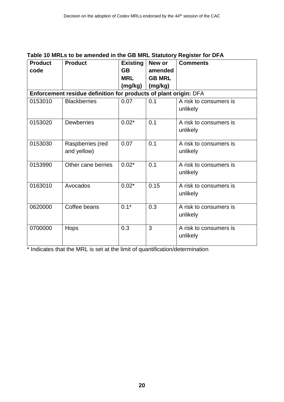| <b>Product</b><br>code | <b>Product</b>                                                   | <b>Existing</b><br><b>GB</b> | New or<br>amended | <b>Comments</b>                    |
|------------------------|------------------------------------------------------------------|------------------------------|-------------------|------------------------------------|
|                        |                                                                  | <b>MRL</b>                   | <b>GB MRL</b>     |                                    |
|                        |                                                                  | (mg/kg)                      | (mg/kg)           |                                    |
|                        | Enforcement residue definition for products of plant origin: DFA |                              |                   |                                    |
| 0153010                | <b>Blackberries</b>                                              | 0.07                         | 0.1               | A risk to consumers is<br>unlikely |
| 0153020                | <b>Dewberries</b>                                                | $0.02*$                      | 0.1               | A risk to consumers is<br>unlikely |
| 0153030                | Raspberries (red<br>and yellow)                                  | 0.07                         | 0.1               | A risk to consumers is<br>unlikely |
| 0153990                | Other cane berries                                               | $0.02*$                      | 0.1               | A risk to consumers is<br>unlikely |
| 0163010                | Avocados                                                         | $0.02*$                      | 0.15              | A risk to consumers is<br>unlikely |
| 0620000                | Coffee beans                                                     | $0.1*$                       | 0.3               | A risk to consumers is<br>unlikely |
| 0700000                | Hops                                                             | 0.3                          | 3                 | A risk to consumers is<br>unlikely |

#### **Table 10 MRLs to be amended in the GB MRL Statutory Register for DFA**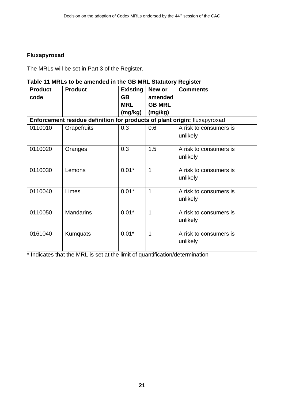#### **Fluxapyroxad**

The MRLs will be set in Part 3 of the Register.

### **Table 11 MRLs to be amended in the GB MRL Statutory Register**

| <b>Product</b><br>code | <b>Product</b>                                                            | <b>Existing</b><br><b>GB</b><br><b>MRL</b><br>(mg/kg) | New or<br>amended<br><b>GB MRL</b><br>(mg/kg) | <b>Comments</b>                    |
|------------------------|---------------------------------------------------------------------------|-------------------------------------------------------|-----------------------------------------------|------------------------------------|
|                        | Enforcement residue definition for products of plant origin: fluxapyroxad |                                                       |                                               |                                    |
| 0110010                | Grapefruits                                                               | 0.3                                                   | 0.6                                           | A risk to consumers is<br>unlikely |
| 0110020                | Oranges                                                                   | 0.3                                                   | 1.5                                           | A risk to consumers is<br>unlikely |
| 0110030                | Lemons                                                                    | $0.01*$                                               | 1                                             | A risk to consumers is<br>unlikely |
| 0110040                | Limes                                                                     | $0.01*$                                               | $\overline{1}$                                | A risk to consumers is<br>unlikely |
| 0110050                | <b>Mandarins</b>                                                          | $0.01*$                                               | 1                                             | A risk to consumers is<br>unlikely |
| 0161040                | <b>Kumquats</b>                                                           | $0.01*$                                               | 1                                             | A risk to consumers is<br>unlikely |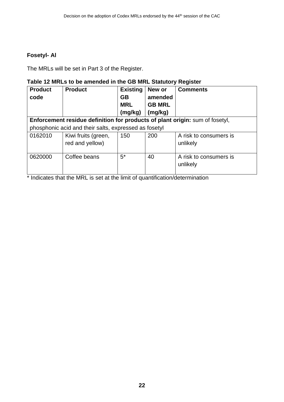#### **Fosetyl- Al**

The MRLs will be set in Part 3 of the Register.

#### **Table 12 MRLs to be amended in the GB MRL Statutory Register**

| <b>Product</b>                                                               | <b>Product</b>                                        | <b>Existing</b> | New or        | <b>Comments</b>                    |  |
|------------------------------------------------------------------------------|-------------------------------------------------------|-----------------|---------------|------------------------------------|--|
| code                                                                         |                                                       | <b>GB</b>       | amended       |                                    |  |
|                                                                              |                                                       | <b>MRL</b>      | <b>GB MRL</b> |                                    |  |
|                                                                              |                                                       | (mg/kg)         | (mg/kg)       |                                    |  |
| Enforcement residue definition for products of plant origin: sum of fosetyl, |                                                       |                 |               |                                    |  |
|                                                                              | phosphonic acid and their salts, expressed as fosetyl |                 |               |                                    |  |
| 0162010                                                                      | Kiwi fruits (green,                                   | 150             | 200           | A risk to consumers is             |  |
|                                                                              | red and yellow)                                       |                 |               | unlikely                           |  |
| 0620000                                                                      | Coffee beans                                          | $5^*$           | 40            | A risk to consumers is<br>unlikely |  |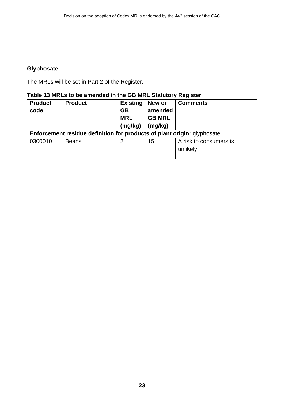#### **Glyphosate**

The MRLs will be set in Part 2 of the Register.

#### **Table 13 MRLs to be amended in the GB MRL Statutory Register**

| <b>Product</b><br>code | <b>Product</b>                                                          | <b>Existing</b><br><b>GB</b><br><b>MRL</b> | New or<br>amended<br><b>GB MRL</b> | <b>Comments</b>                    |  |  |
|------------------------|-------------------------------------------------------------------------|--------------------------------------------|------------------------------------|------------------------------------|--|--|
|                        |                                                                         | (mg/kg)                                    | (mg/kg)                            |                                    |  |  |
|                        | Enforcement residue definition for products of plant origin: glyphosate |                                            |                                    |                                    |  |  |
| 0300010                | <b>Beans</b>                                                            | 2                                          | 15                                 | A risk to consumers is<br>unlikely |  |  |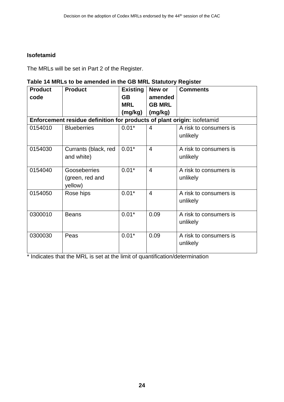#### **Isofetamid**

The MRLs will be set in Part 2 of the Register.

#### **Table 14 MRLs to be amended in the GB MRL Statutory Register**

| <b>Product</b> | <b>Product</b>                                                          | <b>Existing</b> | New or         | <b>Comments</b>                    |
|----------------|-------------------------------------------------------------------------|-----------------|----------------|------------------------------------|
| code           |                                                                         | <b>GB</b>       | amended        |                                    |
|                |                                                                         | <b>MRL</b>      | <b>GB MRL</b>  |                                    |
|                |                                                                         | (mg/kg)         | (mg/kg)        |                                    |
|                | Enforcement residue definition for products of plant origin: isofetamid |                 |                |                                    |
| 0154010        | <b>Blueberries</b>                                                      | $0.01*$         | 4              | A risk to consumers is<br>unlikely |
| 0154030        | Currants (black, red<br>and white)                                      | $0.01*$         | $\overline{4}$ | A risk to consumers is<br>unlikely |
| 0154040        | Gooseberries<br>(green, red and<br>yellow)                              | $0.01*$         | $\overline{4}$ | A risk to consumers is<br>unlikely |
| 0154050        | Rose hips                                                               | $0.01*$         | $\overline{4}$ | A risk to consumers is<br>unlikely |
| 0300010        | <b>Beans</b>                                                            | $0.01*$         | 0.09           | A risk to consumers is<br>unlikely |
| 0300030        | Peas                                                                    | $0.01*$         | 0.09           | A risk to consumers is<br>unlikely |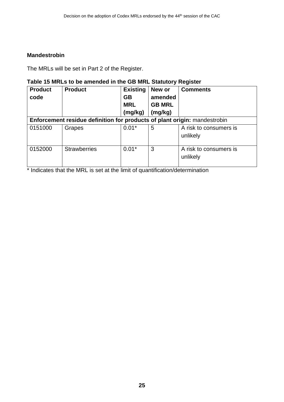#### **Mandestrobin**

The MRLs will be set in Part 2 of the Register.

### **Table 15 MRLs to be amended in the GB MRL Statutory Register**

| <b>Product</b><br>code | <b>Product</b>                                                            | <b>Existing</b><br><b>GB</b><br><b>MRL</b><br>(mg/kg) | New or<br>amended<br><b>GB MRL</b><br>(mg/kg) | <b>Comments</b>                    |
|------------------------|---------------------------------------------------------------------------|-------------------------------------------------------|-----------------------------------------------|------------------------------------|
|                        | Enforcement residue definition for products of plant origin: mandestrobin |                                                       |                                               |                                    |
| 0151000                | Grapes                                                                    | $0.01*$                                               | 5                                             | A risk to consumers is<br>unlikely |
| 0152000                | <b>Strawberries</b>                                                       | $0.01*$                                               | 3                                             | A risk to consumers is<br>unlikely |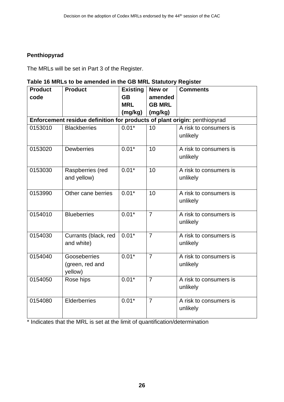#### **Penthiopyrad**

The MRLs will be set in Part 3 of the Register.

#### **Table 16 MRLs to be amended in the GB MRL Statutory Register**

| <b>Product</b> | <b>Product</b>                                                            | <b>Existing</b> | New or         | <b>Comments</b>                    |
|----------------|---------------------------------------------------------------------------|-----------------|----------------|------------------------------------|
| code           |                                                                           | <b>GB</b>       | amended        |                                    |
|                |                                                                           | <b>MRL</b>      | <b>GB MRL</b>  |                                    |
|                |                                                                           | (mg/kg)         | (mg/kg)        |                                    |
|                | Enforcement residue definition for products of plant origin: penthiopyrad |                 |                |                                    |
| 0153010        | <b>Blackberries</b>                                                       | $0.01*$         | 10             | A risk to consumers is<br>unlikely |
| 0153020        | <b>Dewberries</b>                                                         | $0.01*$         | 10             | A risk to consumers is<br>unlikely |
| 0153030        | Raspberries (red<br>and yellow)                                           | $0.01*$         | 10             | A risk to consumers is<br>unlikely |
| 0153990        | Other cane berries                                                        | $0.01*$         | 10             | A risk to consumers is<br>unlikely |
| 0154010        | <b>Blueberries</b>                                                        | $0.01*$         | $\overline{7}$ | A risk to consumers is<br>unlikely |
| 0154030        | Currants (black, red<br>and white)                                        | $0.01*$         | $\overline{7}$ | A risk to consumers is<br>unlikely |
| 0154040        | Gooseberries<br>(green, red and<br>yellow)                                | $0.01*$         | $\overline{7}$ | A risk to consumers is<br>unlikely |
| 0154050        | Rose hips                                                                 | $0.01*$         | $\overline{7}$ | A risk to consumers is<br>unlikely |
| 0154080        | Elderberries                                                              | $0.01*$         | $\overline{7}$ | A risk to consumers is<br>unlikely |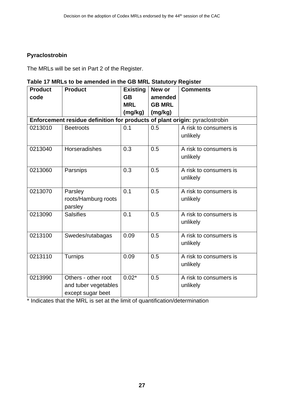#### **Pyraclostrobin**

The MRLs will be set in Part 2 of the Register.

#### **Table 17 MRLs to be amended in the GB MRL Statutory Register**

| <b>Product</b> | <b>Product</b>                                                              | <b>Existing</b><br><b>GB</b> | New or                   | <b>Comments</b>                    |  |  |  |
|----------------|-----------------------------------------------------------------------------|------------------------------|--------------------------|------------------------------------|--|--|--|
| code           |                                                                             | <b>MRL</b>                   | amended<br><b>GB MRL</b> |                                    |  |  |  |
|                |                                                                             | (mg/kg)                      | (mg/kg)                  |                                    |  |  |  |
|                | Enforcement residue definition for products of plant origin: pyraclostrobin |                              |                          |                                    |  |  |  |
| 0213010        | <b>Beetroots</b>                                                            | 0.1                          | 0.5                      | A risk to consumers is<br>unlikely |  |  |  |
| 0213040        | <b>Horseradishes</b>                                                        | 0.3                          | 0.5                      | A risk to consumers is<br>unlikely |  |  |  |
| 0213060        | Parsnips                                                                    | 0.3                          | 0.5                      | A risk to consumers is<br>unlikely |  |  |  |
| 0213070        | Parsley<br>roots/Hamburg roots<br>parsley                                   | 0.1                          | 0.5                      | A risk to consumers is<br>unlikely |  |  |  |
| 0213090        | <b>Salsifies</b>                                                            | 0.1                          | 0.5                      | A risk to consumers is<br>unlikely |  |  |  |
| 0213100        | Swedes/rutabagas                                                            | 0.09                         | 0.5                      | A risk to consumers is<br>unlikely |  |  |  |
| 0213110        | Turnips                                                                     | 0.09                         | 0.5                      | A risk to consumers is<br>unlikely |  |  |  |
| 0213990        | Others - other root<br>and tuber vegetables<br>except sugar beet            | $0.02*$                      | 0.5                      | A risk to consumers is<br>unlikely |  |  |  |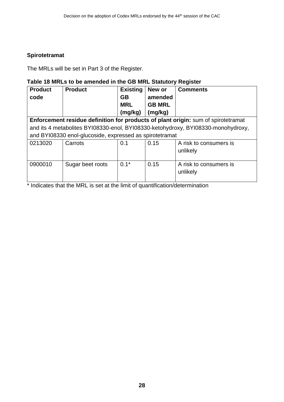#### **Spirotetramat**

The MRLs will be set in Part 3 of the Register.

### **Table 18 MRLs to be amended in the GB MRL Statutory Register**

| <b>Product</b> | <b>Product</b>                                                                    | <b>Existing</b> | New or        | <b>Comments</b>                                                                  |  |  |
|----------------|-----------------------------------------------------------------------------------|-----------------|---------------|----------------------------------------------------------------------------------|--|--|
| code           |                                                                                   | <b>GB</b>       | amended       |                                                                                  |  |  |
|                |                                                                                   | <b>MRL</b>      | <b>GB MRL</b> |                                                                                  |  |  |
|                |                                                                                   | (mg/kg)         | (mg/kg)       |                                                                                  |  |  |
|                | Enforcement residue definition for products of plant origin: sum of spirotetramat |                 |               |                                                                                  |  |  |
|                |                                                                                   |                 |               | and its 4 metabolites BYI08330-enol, BYI08330-ketohydroxy, BYI08330-monohydroxy, |  |  |
|                | and BYI08330 enol-glucoside, expressed as spirotetramat                           |                 |               |                                                                                  |  |  |
| 0213020        | Carrots                                                                           | 0.1             | 0.15          | A risk to consumers is                                                           |  |  |
|                |                                                                                   |                 |               | unlikely                                                                         |  |  |
|                |                                                                                   |                 |               |                                                                                  |  |  |
| 0900010        | Sugar beet roots                                                                  | $0.1*$          | 0.15          | A risk to consumers is                                                           |  |  |
|                |                                                                                   |                 |               | unlikely                                                                         |  |  |
|                |                                                                                   |                 |               |                                                                                  |  |  |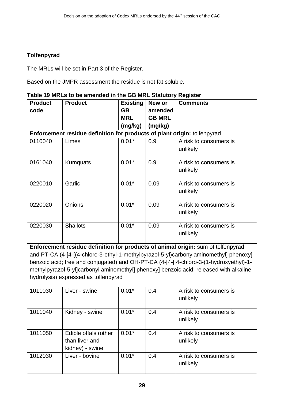### **Tolfenpyrad**

The MRLs will be set in Part 3 of the Register.

Based on the JMPR assessment the residue is not fat soluble.

| Table 19 MRLs to be amended in the GB MRL Statutory Register |
|--------------------------------------------------------------|
|--------------------------------------------------------------|

| <b>Product</b>                                                                         | <b>Product</b>                                                           | <b>Existing</b> | New or        | <b>Comments</b>                                                                        |  |  |
|----------------------------------------------------------------------------------------|--------------------------------------------------------------------------|-----------------|---------------|----------------------------------------------------------------------------------------|--|--|
| code                                                                                   |                                                                          | <b>GB</b>       | amended       |                                                                                        |  |  |
|                                                                                        |                                                                          | <b>MRL</b>      | <b>GB MRL</b> |                                                                                        |  |  |
|                                                                                        |                                                                          | (mg/kg)         | (mg/kg)       |                                                                                        |  |  |
|                                                                                        | Enforcement residue definition for products of plant origin: tolfenpyrad |                 |               |                                                                                        |  |  |
| 0110040                                                                                | Limes                                                                    | $0.01*$         | 0.9           | A risk to consumers is                                                                 |  |  |
|                                                                                        |                                                                          |                 |               | unlikely                                                                               |  |  |
| 0161040                                                                                | Kumquats                                                                 | $0.01*$         | 0.9           | A risk to consumers is<br>unlikely                                                     |  |  |
|                                                                                        |                                                                          |                 |               |                                                                                        |  |  |
| 0220010                                                                                | Garlic                                                                   | $0.01*$         | 0.09          | A risk to consumers is                                                                 |  |  |
|                                                                                        |                                                                          |                 |               | unlikely                                                                               |  |  |
| 0220020                                                                                | Onions                                                                   | $0.01*$         | 0.09          | A risk to consumers is                                                                 |  |  |
|                                                                                        |                                                                          |                 |               | unlikely                                                                               |  |  |
| 0220030                                                                                | <b>Shallots</b>                                                          | $0.01*$         | 0.09          | A risk to consumers is                                                                 |  |  |
|                                                                                        |                                                                          |                 |               | unlikely                                                                               |  |  |
| Enforcement residue definition for products of animal origin: sum of tolfenpyrad       |                                                                          |                 |               |                                                                                        |  |  |
|                                                                                        |                                                                          |                 |               | and PT-CA (4-[4-[(4-chloro-3-ethyl-1-methylpyrazol-5-yl)carbonylaminomethyl] phenoxy]  |  |  |
|                                                                                        |                                                                          |                 |               | benzoic acid; free and conjugated) and OH-PT-CA (4-[4-[[4-chloro-3-(1-hydroxyethyl)-1- |  |  |
| methylpyrazol-5-yl]carbonyl aminomethyl] phenoxy] benzoic acid; released with alkaline |                                                                          |                 |               |                                                                                        |  |  |
| hydrolysis) expressed as tolfenpyrad                                                   |                                                                          |                 |               |                                                                                        |  |  |
| 1011030                                                                                | Liver - swine                                                            | $0.01*$         | 0.4           | A risk to consumers is                                                                 |  |  |
|                                                                                        |                                                                          |                 |               | unlikely                                                                               |  |  |
| 1011040                                                                                | Kidney - swine                                                           | $0.01*$         | 0.4           | A risk to consumers is                                                                 |  |  |
|                                                                                        |                                                                          |                 |               | unlikely                                                                               |  |  |
| 1011050                                                                                | Edible offals (other                                                     | $0.01*$         | 0.4           | A risk to consumers is                                                                 |  |  |
|                                                                                        | than liver and                                                           |                 |               | unlikely                                                                               |  |  |
|                                                                                        | kidney) - swine                                                          |                 |               |                                                                                        |  |  |
| 1012030                                                                                | Liver - bovine                                                           | $0.01*$         | 0.4           | A risk to consumers is                                                                 |  |  |
|                                                                                        |                                                                          |                 |               | unlikely                                                                               |  |  |
|                                                                                        |                                                                          |                 |               |                                                                                        |  |  |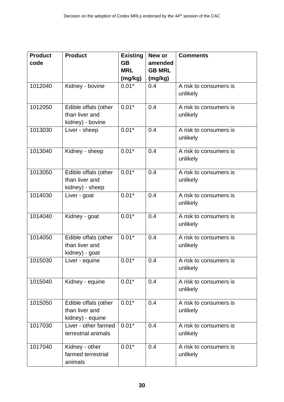| <b>Product</b><br>code | <b>Product</b>                                             | <b>Existing</b><br><b>GB</b><br><b>MRL</b><br>(mg/kg) | New or<br>amended<br><b>GB MRL</b><br>(mg/kg) | <b>Comments</b>                    |
|------------------------|------------------------------------------------------------|-------------------------------------------------------|-----------------------------------------------|------------------------------------|
| 1012040                | Kidney - bovine                                            | $0.01*$                                               | 0.4                                           | A risk to consumers is<br>unlikely |
| 1012050                | Edible offals (other<br>than liver and<br>kidney) - bovine | $0.01*$                                               | 0.4                                           | A risk to consumers is<br>unlikely |
| 1013030                | Liver - sheep                                              | $0.01*$                                               | 0.4                                           | A risk to consumers is<br>unlikely |
| 1013040                | Kidney - sheep                                             | $0.01*$                                               | 0.4                                           | A risk to consumers is<br>unlikely |
| 1013050                | Edible offals (other<br>than liver and<br>kidney) - sheep  | $0.01*$                                               | 0.4                                           | A risk to consumers is<br>unlikely |
| 1014030                | Liver - goat                                               | $0.01*$                                               | 0.4                                           | A risk to consumers is<br>unlikely |
| 1014040                | Kidney - goat                                              | $0.01*$                                               | 0.4                                           | A risk to consumers is<br>unlikely |
| 1014050                | Edible offals (other<br>than liver and<br>kidney) - goat   | $0.01*$                                               | 0.4                                           | A risk to consumers is<br>unlikely |
| 1015030                | Liver - equine                                             | $0.01*$                                               | 0.4                                           | A risk to consumers is<br>unlikely |
| 1015040                | Kidney - equine                                            | $0.01*$                                               | 0.4                                           | A risk to consumers is<br>unlikely |
| 1015050                | Edible offals (other<br>than liver and<br>kidney) - equine | $0.01*$                                               | 0.4                                           | A risk to consumers is<br>unlikely |
| 1017030                | Liver - other farmed<br>terrestrial animals                | $0.01*$                                               | 0.4                                           | A risk to consumers is<br>unlikely |
| 1017040                | Kidney - other<br>farmed terrestrial<br>animals            | $0.01*$                                               | 0.4                                           | A risk to consumers is<br>unlikely |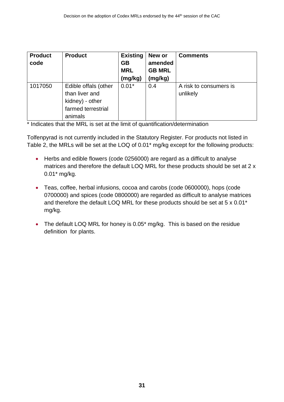| <b>Product</b><br>code | <b>Product</b>                                                                             | <b>Existing</b><br><b>GB</b><br><b>MRL</b><br>(mg/kg) | New or<br>amended<br><b>GB MRL</b><br>(mg/kg) | <b>Comments</b>                    |
|------------------------|--------------------------------------------------------------------------------------------|-------------------------------------------------------|-----------------------------------------------|------------------------------------|
| 1017050                | Edible offals (other<br>than liver and<br>kidney) - other<br>farmed terrestrial<br>animals | $0.01*$                                               | 0.4                                           | A risk to consumers is<br>unlikely |

\* Indicates that the MRL is set at the limit of quantification/determination

Tolfenpyrad is not currently included in the Statutory Register. For products not listed in Table 2, the MRLs will be set at the LOQ of 0.01\* mg/kg except for the following products:

- Herbs and edible flowers (code 0256000) are regard as a difficult to analyse matrices and therefore the default LOQ MRL for these products should be set at 2 x 0.01\* mg/kg.
- Teas, coffee, herbal infusions, cocoa and carobs (code 0600000), hops (code 0700000) and spices (code 0800000) are regarded as difficult to analyse matrices and therefore the default LOQ MRL for these products should be set at 5 x 0.01\* mg/kg.
- The default LOQ MRL for honey is 0.05<sup>\*</sup> mg/kg. This is based on the residue definition for plants.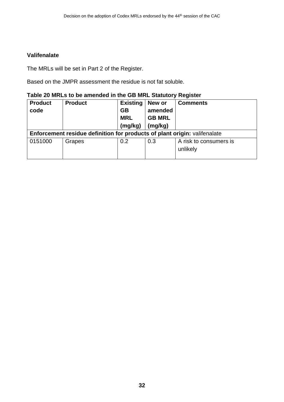#### **Valifenalate**

The MRLs will be set in Part 2 of the Register.

Based on the JMPR assessment the residue is not fat soluble.

#### **Table 20 MRLs to be amended in the GB MRL Statutory Register**

| <b>Product</b>                                                                   | <b>Product</b> | <b>Existing</b> | New or        | <b>Comments</b>        |  |
|----------------------------------------------------------------------------------|----------------|-----------------|---------------|------------------------|--|
| code                                                                             |                | <b>GB</b>       | amended       |                        |  |
|                                                                                  |                | <b>MRL</b>      | <b>GB MRL</b> |                        |  |
|                                                                                  |                | (mg/kg)         | (mg/kg)       |                        |  |
| <b>Enforcement residue definition for products of plant origin:</b> valifenalate |                |                 |               |                        |  |
| 0151000                                                                          | Grapes         | 0.2             | 0.3           | A risk to consumers is |  |
|                                                                                  |                |                 |               | unlikely               |  |
|                                                                                  |                |                 |               |                        |  |